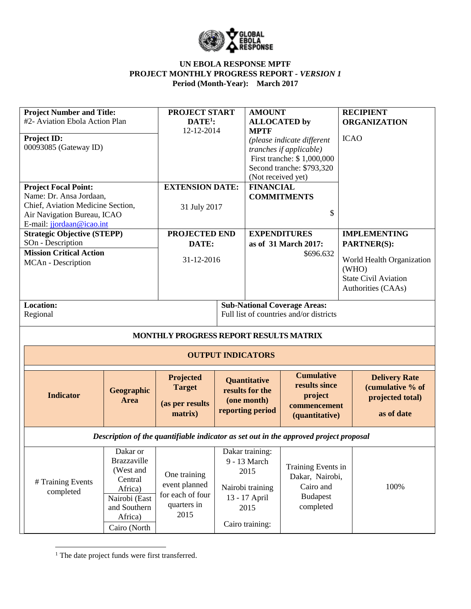

| <b>Project Number and Title:</b><br>#2- Aviation Ebola Action Plan<br><b>Project ID:</b><br>00093085 (Gateway ID)                                       |                           | <b>PROJECT START</b><br>$DATE1$ :<br>12-12-2014                                       |                          | <b>AMOUNT</b><br><b>ALLOCATED</b> by<br><b>MPTF</b><br>(Not received yet) | (please indicate different<br>tranches if applicable)<br>First tranche: \$1,000,000<br>Second tranche: \$793,320 | <b>ICAO</b> | <b>RECIPIENT</b><br><b>ORGANIZATION</b>                                                                                              |
|---------------------------------------------------------------------------------------------------------------------------------------------------------|---------------------------|---------------------------------------------------------------------------------------|--------------------------|---------------------------------------------------------------------------|------------------------------------------------------------------------------------------------------------------|-------------|--------------------------------------------------------------------------------------------------------------------------------------|
| <b>Project Focal Point:</b><br>Name: Dr. Ansa Jordaan,<br>Chief, Aviation Medicine Section,<br>Air Navigation Bureau, ICAO<br>E-mail: jjordaan@icao.int |                           | <b>EXTENSION DATE:</b><br>31 July 2017                                                |                          | <b>FINANCIAL</b>                                                          | <b>COMMITMENTS</b><br>\$                                                                                         |             |                                                                                                                                      |
| <b>Strategic Objective (STEPP)</b><br>SOn - Description<br><b>Mission Critical Action</b><br>MCAn - Description                                         |                           | PROJECTED END<br>DATE:<br>31-12-2016                                                  |                          | <b>EXPENDITURES</b>                                                       | as of 31 March 2017:<br>\$696.632                                                                                |             | <b>IMPLEMENTING</b><br><b>PARTNER(S):</b><br>World Health Organization<br>(WHO)<br><b>State Civil Aviation</b><br>Authorities (CAAs) |
| <b>Location:</b><br>Regional                                                                                                                            |                           | MONTHLY PROGRESS REPORT RESULTS MATRIX                                                |                          |                                                                           | <b>Sub-National Coverage Areas:</b><br>Full list of countries and/or districts                                   |             |                                                                                                                                      |
|                                                                                                                                                         |                           |                                                                                       | <b>OUTPUT INDICATORS</b> |                                                                           |                                                                                                                  |             |                                                                                                                                      |
|                                                                                                                                                         |                           |                                                                                       |                          |                                                                           |                                                                                                                  |             |                                                                                                                                      |
| <b>Indicator</b>                                                                                                                                        | Geographic<br><b>Area</b> | Projected<br><b>Target</b><br>(as per results<br>matrix)                              |                          | Quantitative<br>results for the<br>(one month)<br>reporting period        | <b>Cumulative</b><br>results since<br>project<br>commencement<br>(quantitative)                                  |             | <b>Delivery Rate</b><br>(cumulative % of<br>projected total)<br>as of date                                                           |
|                                                                                                                                                         |                           | Description of the quantifiable indicator as set out in the approved project proposal |                          | Dakar training:                                                           |                                                                                                                  |             |                                                                                                                                      |

<sup>1</sup> The date project funds were first transferred.

 $\overline{a}$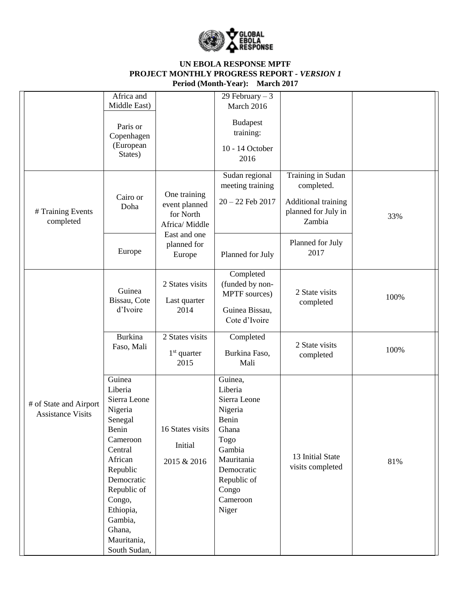

|                                                    | Africa and<br>Middle East)                                                                                                                                                                                             |                                                                                             | 29 February $-3$<br>March 2016                                                                                                                             |                                                                                                             |      |
|----------------------------------------------------|------------------------------------------------------------------------------------------------------------------------------------------------------------------------------------------------------------------------|---------------------------------------------------------------------------------------------|------------------------------------------------------------------------------------------------------------------------------------------------------------|-------------------------------------------------------------------------------------------------------------|------|
|                                                    | Paris or<br>Copenhagen<br>(European<br>States)                                                                                                                                                                         |                                                                                             | <b>Budapest</b><br>training:<br>10 - 14 October<br>2016                                                                                                    |                                                                                                             |      |
| # Training Events<br>completed                     | Cairo or<br>Doha                                                                                                                                                                                                       | One training<br>event planned<br>for North<br>Africa/ Middle<br>East and one<br>planned for | Sudan regional<br>meeting training<br>$20 - 22$ Feb $2017$                                                                                                 | Training in Sudan<br>completed.<br>Additional training<br>planned for July in<br>Zambia<br>Planned for July | 33%  |
|                                                    | Europe                                                                                                                                                                                                                 | Europe                                                                                      | Planned for July                                                                                                                                           | 2017                                                                                                        |      |
|                                                    | Guinea<br>Bissau, Cote<br>d'Ivoire                                                                                                                                                                                     | 2 States visits<br>Last quarter<br>2014                                                     | Completed<br>(funded by non-<br>MPTF sources)<br>Guinea Bissau,<br>Cote d'Ivoire                                                                           | 2 State visits<br>completed                                                                                 | 100% |
|                                                    | <b>Burkina</b><br>Faso, Mali                                                                                                                                                                                           | 2 States visits<br>$1st$ quarter<br>2015                                                    | Completed<br>Burkina Faso,<br>Mali                                                                                                                         | 2 State visits<br>completed                                                                                 | 100% |
| # of State and Airport<br><b>Assistance Visits</b> | Guinea<br>Liberia<br>Sierra Leone<br>Nigeria<br>Senegal<br>Benin<br>Cameroon<br>Central<br>African<br>Republic<br>Democratic<br>Republic of<br>Congo,<br>Ethiopia,<br>Gambia,<br>Ghana,<br>Mauritania,<br>South Sudan, | 16 States visits<br>Initial<br>2015 & 2016                                                  | Guinea,<br>Liberia<br>Sierra Leone<br>Nigeria<br>Benin<br>Ghana<br>Togo<br>Gambia<br>Mauritania<br>Democratic<br>Republic of<br>Congo<br>Cameroon<br>Niger | 13 Initial State<br>visits completed                                                                        | 81%  |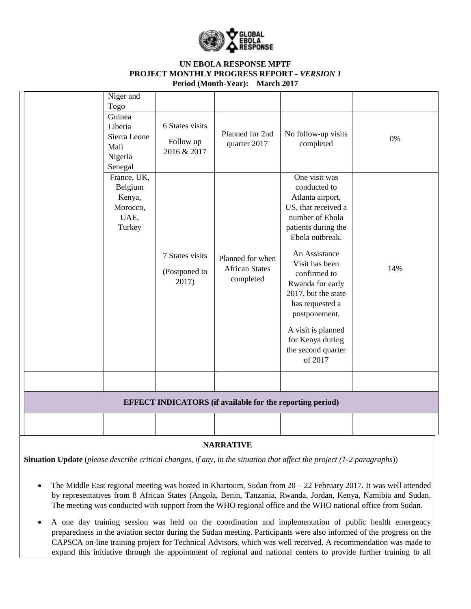

| Niger and<br>Togo                                               |                                             |                                                                  |                                                                                                                                                                                                                                                                                                                                                    |     |
|-----------------------------------------------------------------|---------------------------------------------|------------------------------------------------------------------|----------------------------------------------------------------------------------------------------------------------------------------------------------------------------------------------------------------------------------------------------------------------------------------------------------------------------------------------------|-----|
| Guinea<br>Liberia<br>Sierra Leone<br>Mali<br>Nigeria<br>Senegal | 6 States visits<br>Follow up<br>2016 & 2017 | Planned for 2nd<br>quarter 2017                                  | No follow-up visits<br>completed                                                                                                                                                                                                                                                                                                                   | 0%  |
| France, UK,<br>Belgium<br>Kenya,<br>Morocco,<br>UAE,<br>Turkey  | 7 States visits<br>(Postponed to<br>2017)   | Planned for when<br><b>African States</b><br>completed           | One visit was<br>conducted to<br>Atlanta airport,<br>US, that received a<br>number of Ebola<br>patients during the<br>Ebola outbreak.<br>An Assistance<br>Visit has been<br>confirmed to<br>Rwanda for early<br>2017, but the state<br>has requested a<br>postponement.<br>A visit is planned<br>for Kenya during<br>the second quarter<br>of 2017 | 14% |
|                                                                 |                                             |                                                                  |                                                                                                                                                                                                                                                                                                                                                    |     |
|                                                                 |                                             | <b>EFFECT INDICATORS</b> (if available for the reporting period) |                                                                                                                                                                                                                                                                                                                                                    |     |
|                                                                 |                                             |                                                                  |                                                                                                                                                                                                                                                                                                                                                    |     |

### **NARRATIVE**

**Situation Update** (*please describe critical changes, if any, in the situation that affect the project (1-2 paragraphs*))

- The Middle East regional meeting was hosted in Khartoum, Sudan from  $20 22$  February 2017. It was well attended by representatives from 8 African States (Angola, Benin, Tanzania, Rwanda, Jordan, Kenya, Namibia and Sudan. The meeting was conducted with support from the WHO regional office and the WHO national office from Sudan.
- A one day training session was held on the coordination and implementation of public health emergency preparedness in the aviation sector during the Sudan meeting. Participants were also informed of the progress on the CAPSCA on-line training project for Technical Advisors, which was well received. A recommendation was made to expand this initiative through the appointment of regional and national centers to provide further training to all